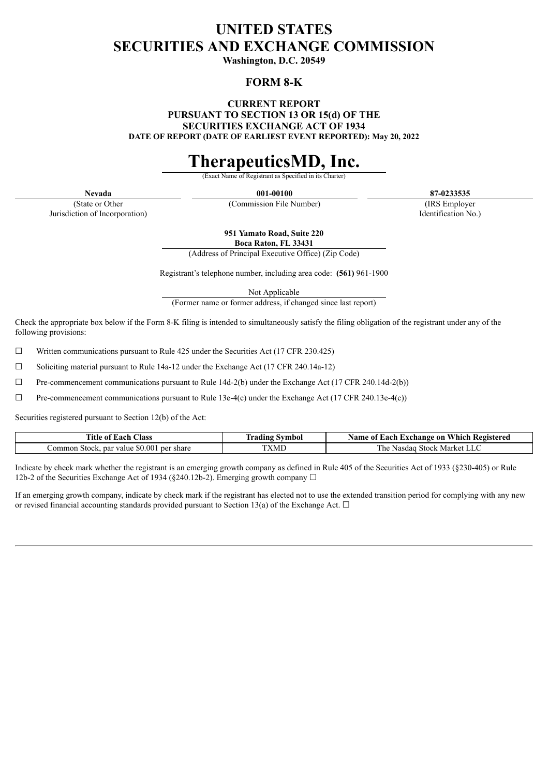# **UNITED STATES SECURITIES AND EXCHANGE COMMISSION**

**Washington, D.C. 20549**

# **FORM 8-K**

**CURRENT REPORT PURSUANT TO SECTION 13 OR 15(d) OF THE SECURITIES EXCHANGE ACT OF 1934 DATE OF REPORT (DATE OF EARLIEST EVENT REPORTED): May 20, 2022**

# **TherapeuticsMD, Inc.**

Exact Name of Registrant

**Nevada 001-00100 87-0233535**

(State or Other Jurisdiction of Incorporation)

(Commission File Number) (IRS Employer Identification No.)

**951 Yamato Road, Suite 220 Boca Raton, FL 33431**

(Address of Principal Executive Office) (Zip Code)

Registrant's telephone number, including area code: **(561)** 961-1900

Not Applicable

(Former name or former address, if changed since last report)

Check the appropriate box below if the Form 8-K filing is intended to simultaneously satisfy the filing obligation of the registrant under any of the following provisions:

 $\Box$  Written communications pursuant to Rule 425 under the Securities Act (17 CFR 230.425)

 $\Box$  Soliciting material pursuant to Rule 14a-12 under the Exchange Act (17 CFR 240.14a-12)

 $\Box$  Pre-commencement communications pursuant to Rule 14d-2(b) under the Exchange Act (17 CFR 240.14d-2(b))

 $\Box$  Pre-commencement communications pursuant to Rule 13e-4(c) under the Exchange Act (17 CFR 240.13e-4(c))

Securities registered pursuant to Section 12(b) of the Act:

| Title.<br>$\text{Class}$<br>∙ach<br>` 01                       | vg Symbol<br><b>rading</b> | Aame<br>Which<br>ach.<br>Registered<br>L Exchange on<br>0Ť |
|----------------------------------------------------------------|----------------------------|------------------------------------------------------------|
| ' share<br>⊅ommon Stock<br>par<br>value<br>per<br><b>30.00</b> | TVI<br>XML                 | l he<br>Market<br>Stock<br>Nasdad                          |

Indicate by check mark whether the registrant is an emerging growth company as defined in Rule 405 of the Securities Act of 1933 (§230-405) or Rule 12b-2 of the Securities Exchange Act of 1934 (§240.12b-2). Emerging growth company  $\Box$ 

If an emerging growth company, indicate by check mark if the registrant has elected not to use the extended transition period for complying with any new or revised financial accounting standards provided pursuant to Section 13(a) of the Exchange Act.  $\Box$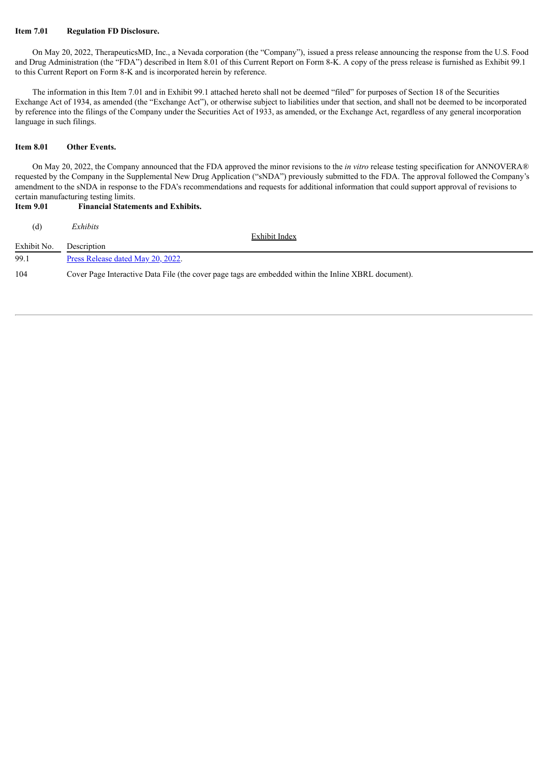#### **Item 7.01 Regulation FD Disclosure.**

On May 20, 2022, TherapeuticsMD, Inc., a Nevada corporation (the "Company"), issued a press release announcing the response from the U.S. Food and Drug Administration (the "FDA") described in Item 8.01 of this Current Report on Form 8-K. A copy of the press release is furnished as Exhibit 99.1 to this Current Report on Form 8-K and is incorporated herein by reference.

The information in this Item 7.01 and in Exhibit 99.1 attached hereto shall not be deemed "filed" for purposes of Section 18 of the Securities Exchange Act of 1934, as amended (the "Exchange Act"), or otherwise subject to liabilities under that section, and shall not be deemed to be incorporated by reference into the filings of the Company under the Securities Act of 1933, as amended, or the Exchange Act, regardless of any general incorporation language in such filings.

#### **Item 8.01 Other Events.**

On May 20, 2022, the Company announced that the FDA approved the minor revisions to the *in vitro* release testing specification for ANNOVERA® requested by the Company in the Supplemental New Drug Application ("sNDA") previously submitted to the FDA. The approval followed the Company's amendment to the sNDA in response to the FDA's recommendations and requests for additional information that could support approval of revisions to certain manufacturing testing limits.

#### **Item 9.01 Financial Statements and Exhibits.**

| (d)         | Exhibits                                                                                             |
|-------------|------------------------------------------------------------------------------------------------------|
|             | Exhibit Index                                                                                        |
| Exhibit No. | Description                                                                                          |
| 99.1        | Press Release dated May 20, 2022.                                                                    |
| 104         | Cover Page Interactive Data File (the cover page tags are embedded within the Inline XBRL document). |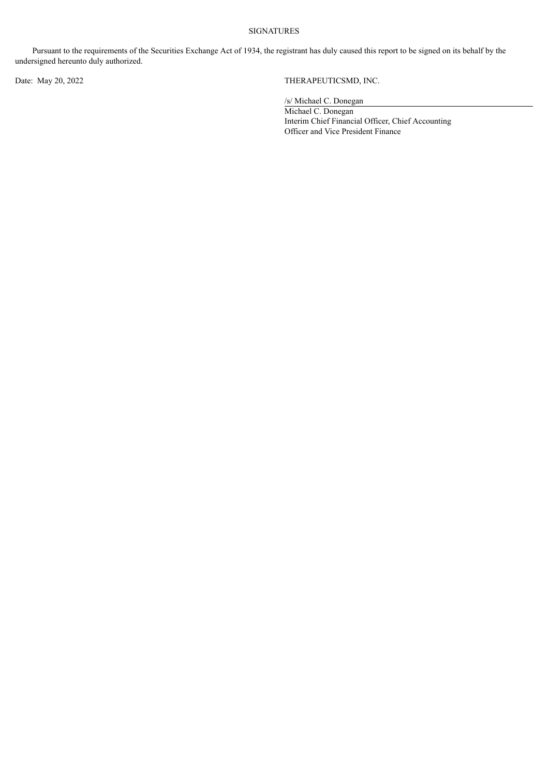#### SIGNATURES

Pursuant to the requirements of the Securities Exchange Act of 1934, the registrant has duly caused this report to be signed on its behalf by the undersigned hereunto duly authorized.

# Date: May 20, 2022 THERAPEUTICSMD, INC.

/s/ Michael C. Donegan

Michael C. Donegan Interim Chief Financial Officer, Chief Accounting Officer and Vice President Finance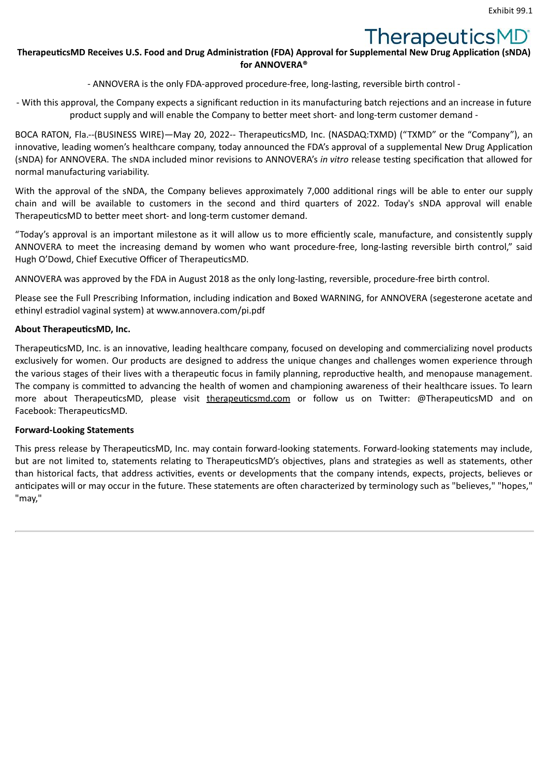# TherapeuticsMD®

# <span id="page-3-0"></span>**TherapeuticsMD Receives U.S. Food and Drug Administration (FDA) Approval for Supplemental New Drug Application (sNDA) for ANNOVERA®**

- ANNOVERA is the only FDA-approved procedure-free, long-lasting, reversible birth control -

- With this approval, the Company expects a significant reduction in its manufacturing batch rejections and an increase in future product supply and will enable the Company to better meet short- and long-term customer demand -

BOCA RATON, Fla.--(BUSINESS WIRE)—May 20, 2022-- TherapeuticsMD, Inc. (NASDAQ:TXMD) ("TXMD" or the "Company"), an innovative, leading women's healthcare company, today announced the FDA's approval of a supplemental New Drug Application (sNDA) for ANNOVERA. The sNDA included minor revisions to ANNOVERA's *in vitro* release testing specification that allowed for normal manufacturing variability.

With the approval of the sNDA, the Company believes approximately 7,000 additional rings will be able to enter our supply chain and will be available to customers in the second and third quarters of 2022. Today's sNDA approval will enable TherapeuticsMD to better meet short- and long-term customer demand.

"Today's approval is an important milestone as it will allow us to more efficiently scale, manufacture, and consistently supply ANNOVERA to meet the increasing demand by women who want procedure-free, long-lasting reversible birth control," said Hugh O'Dowd, Chief Executive Officer of TherapeuticsMD.

ANNOVERA was approved by the FDA in August 2018 as the only long-lasting, reversible, procedure-free birth control.

Please see the Full Prescribing Information, including indication and Boxed WARNING, for ANNOVERA (segesterone acetate and ethinyl estradiol vaginal system) at www.annovera.com/pi.pdf

# **About TherapeuticsMD, Inc.**

TherapeuticsMD, Inc. is an innovative, leading healthcare company, focused on developing and commercializing novel products exclusively for women. Our products are designed to address the unique changes and challenges women experience through the various stages of their lives with a therapeutic focus in family planning, reproductive health, and menopause management. The company is committed to advancing the health of women and championing awareness of their healthcare issues. To learn more about TherapeuticsMD, please visit therapeuticsmd.com or follow us on Twitter: @TherapeuticsMD and on Facebook: TherapeuticsMD.

### **Forward-Looking Statements**

This press release by TherapeuticsMD, Inc. may contain forward-looking statements. Forward-looking statements may include, but are not limited to, statements relating to TherapeuticsMD's objectives, plans and strategies as well as statements, other than historical facts, that address activities, events or developments that the company intends, expects, projects, believes or anticipates will or may occur in the future. These statements are often characterized by terminology such as "believes," "hopes," "may,"